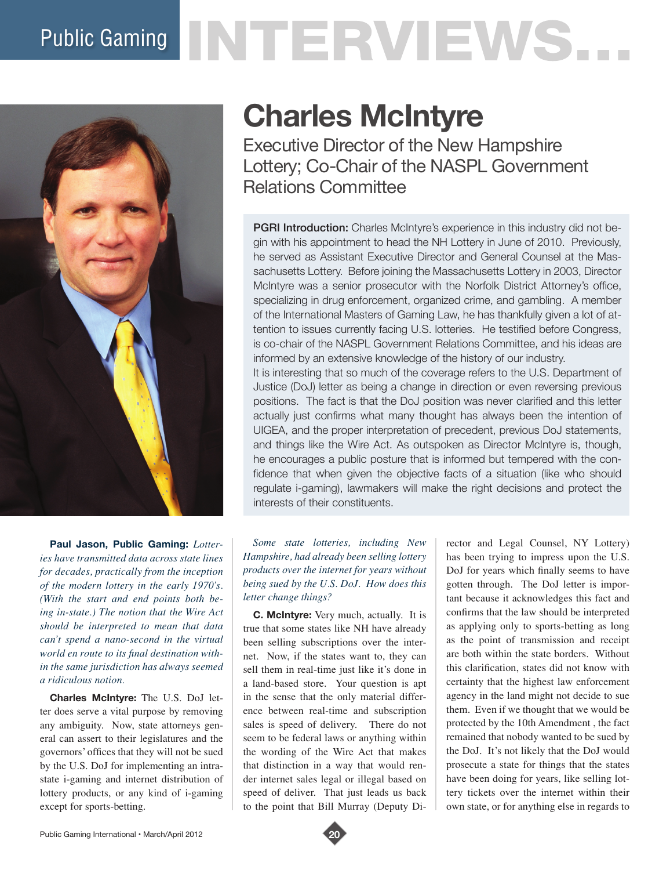# Public Gaming NTERVIEWS.



**Paul Jason, Public Gaming:** *Lotteries have transmitted data across state lines for decades, practically from the inception of the modern lottery in the early 1970's. (With the start and end points both being in-state.) The notion that the Wire Act should be interpreted to mean that data can't spend a nano-second in the virtual world en route to its final destination within the same jurisdiction has always seemed a ridiculous notion.*

**Charles McIntyre:** The U.S. DoJ letter does serve a vital purpose by removing any ambiguity. Now, state attorneys general can assert to their legislatures and the governors' offices that they will not be sued by the U.S. DoJ for implementing an intrastate i-gaming and internet distribution of lottery products, or any kind of i-gaming except for sports-betting.

# **Charles McIntyre**

Executive Director of the New Hampshire Lottery; Co-Chair of the NASPL Government Relations Committee

PGRI Introduction: Charles McIntyre's experience in this industry did not begin with his appointment to head the NH Lottery in June of 2010. Previously, he served as Assistant Executive Director and General Counsel at the Massachusetts Lottery. Before joining the Massachusetts Lottery in 2003, Director McIntyre was a senior prosecutor with the Norfolk District Attorney's office, specializing in drug enforcement, organized crime, and gambling. A member of the International Masters of Gaming Law, he has thankfully given a lot of attention to issues currently facing U.S. lotteries. He testified before Congress, is co-chair of the NASPL Government Relations Committee, and his ideas are informed by an extensive knowledge of the history of our industry. It is interesting that so much of the coverage refers to the U.S. Department of Justice (DoJ) letter as being a change in direction or even reversing previous positions. The fact is that the DoJ position was never clarified and this letter actually just confirms what many thought has always been the intention of UIGEA, and the proper interpretation of precedent, previous DoJ statements, and things like the Wire Act. As outspoken as Director McIntyre is, though, he encourages a public posture that is informed but tempered with the confidence that when given the objective facts of a situation (like who should regulate i-gaming), lawmakers will make the right decisions and protect the

*Some state lotteries, including New Hampshire, had already been selling lottery products over the internet for years without being sued by the U.S. DoJ. How does this letter change things?*

interests of their constituents.

**C. McIntyre:** Very much, actually. It is true that some states like NH have already been selling subscriptions over the internet. Now, if the states want to, they can sell them in real-time just like it's done in a land-based store. Your question is apt in the sense that the only material difference between real-time and subscription sales is speed of delivery. There do not seem to be federal laws or anything within the wording of the Wire Act that makes that distinction in a way that would render internet sales legal or illegal based on speed of deliver. That just leads us back to the point that Bill Murray (Deputy Director and Legal Counsel, NY Lottery) has been trying to impress upon the U.S. DoJ for years which finally seems to have gotten through. The DoJ letter is important because it acknowledges this fact and confirms that the law should be interpreted as applying only to sports-betting as long as the point of transmission and receipt are both within the state borders. Without this clarification, states did not know with certainty that the highest law enforcement agency in the land might not decide to sue them. Even if we thought that we would be protected by the 10th Amendment , the fact remained that nobody wanted to be sued by the DoJ. It's not likely that the DoJ would prosecute a state for things that the states have been doing for years, like selling lottery tickets over the internet within their own state, or for anything else in regards to

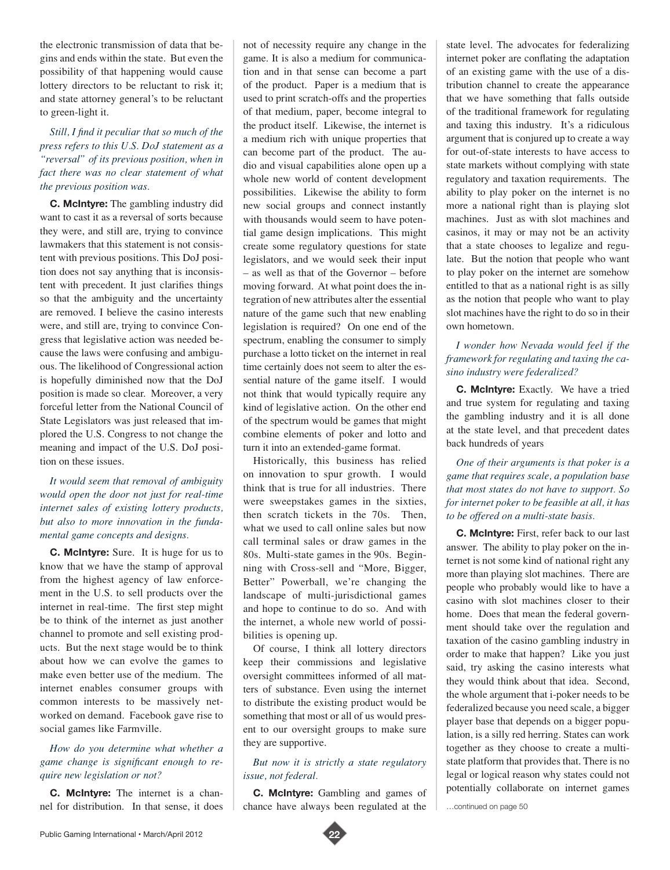the electronic transmission of data that begins and ends within the state. But even the possibility of that happening would cause lottery directors to be reluctant to risk it; and state attorney general's to be reluctant to green-light it.

# *Still, I find it peculiar that so much of the press refers to this U.S. DoJ statement as a "reversal" of its previous position, when in fact there was no clear statement of what the previous position was.*

**C. McIntyre:** The gambling industry did want to cast it as a reversal of sorts because they were, and still are, trying to convince lawmakers that this statement is not consistent with previous positions. This DoJ position does not say anything that is inconsistent with precedent. It just clarifies things so that the ambiguity and the uncertainty are removed. I believe the casino interests were, and still are, trying to convince Congress that legislative action was needed because the laws were confusing and ambiguous. The likelihood of Congressional action is hopefully diminished now that the DoJ position is made so clear. Moreover, a very forceful letter from the National Council of State Legislators was just released that implored the U.S. Congress to not change the meaning and impact of the U.S. DoJ position on these issues.

# *It would seem that removal of ambiguity would open the door not just for real-time internet sales of existing lottery products, but also to more innovation in the fundamental game concepts and designs.*

**C. McIntyre:** Sure. It is huge for us to know that we have the stamp of approval from the highest agency of law enforcement in the U.S. to sell products over the internet in real-time. The first step might be to think of the internet as just another channel to promote and sell existing products. But the next stage would be to think about how we can evolve the games to make even better use of the medium. The internet enables consumer groups with common interests to be massively networked on demand. Facebook gave rise to social games like Farmville.

# *How do you determine what whether a game change is significant enough to require new legislation or not?*

**C. McIntyre:** The internet is a channel for distribution. In that sense, it does not of necessity require any change in the game. It is also a medium for communication and in that sense can become a part of the product. Paper is a medium that is used to print scratch-offs and the properties of that medium, paper, become integral to the product itself. Likewise, the internet is a medium rich with unique properties that can become part of the product. The audio and visual capabilities alone open up a whole new world of content development possibilities. Likewise the ability to form new social groups and connect instantly with thousands would seem to have potential game design implications. This might create some regulatory questions for state legislators, and we would seek their input – as well as that of the Governor – before moving forward. At what point does the integration of new attributes alter the essential nature of the game such that new enabling legislation is required? On one end of the spectrum, enabling the consumer to simply purchase a lotto ticket on the internet in real time certainly does not seem to alter the essential nature of the game itself. I would not think that would typically require any kind of legislative action. On the other end of the spectrum would be games that might combine elements of poker and lotto and turn it into an extended-game format.

Historically, this business has relied on innovation to spur growth. I would think that is true for all industries. There were sweepstakes games in the sixties, then scratch tickets in the 70s. Then, what we used to call online sales but now call terminal sales or draw games in the 80s. Multi-state games in the 90s. Beginning with Cross-sell and "More, Bigger, Better" Powerball, we're changing the landscape of multi-jurisdictional games and hope to continue to do so. And with the internet, a whole new world of possibilities is opening up.

Of course, I think all lottery directors keep their commissions and legislative oversight committees informed of all matters of substance. Even using the internet to distribute the existing product would be something that most or all of us would present to our oversight groups to make sure they are supportive.

#### *But now it is strictly a state regulatory issue, not federal.*

**C. McIntyre:** Gambling and games of chance have always been regulated at the state level. The advocates for federalizing internet poker are conflating the adaptation of an existing game with the use of a distribution channel to create the appearance that we have something that falls outside of the traditional framework for regulating and taxing this industry. It's a ridiculous argument that is conjured up to create a way for out-of-state interests to have access to state markets without complying with state regulatory and taxation requirements. The ability to play poker on the internet is no more a national right than is playing slot machines. Just as with slot machines and casinos, it may or may not be an activity that a state chooses to legalize and regulate. But the notion that people who want to play poker on the internet are somehow entitled to that as a national right is as silly as the notion that people who want to play slot machines have the right to do so in their own hometown.

# *I wonder how Nevada would feel if the framework for regulating and taxing the casino industry were federalized?*

**C. McIntyre:** Exactly. We have a tried and true system for regulating and taxing the gambling industry and it is all done at the state level, and that precedent dates back hundreds of years

*One of their arguments is that poker is a game that requires scale, a population base that most states do not have to support. So for internet poker to be feasible at all, it has to be offered on a multi-state basis.*

**C. McIntyre:** First, refer back to our last answer. The ability to play poker on the internet is not some kind of national right any more than playing slot machines. There are people who probably would like to have a casino with slot machines closer to their home. Does that mean the federal government should take over the regulation and taxation of the casino gambling industry in order to make that happen? Like you just said, try asking the casino interests what they would think about that idea. Second, the whole argument that i-poker needs to be federalized because you need scale, a bigger player base that depends on a bigger population, is a silly red herring. States can work together as they choose to create a multistate platform that provides that. There is no legal or logical reason why states could not potentially collaborate on internet games

…continued on page 50

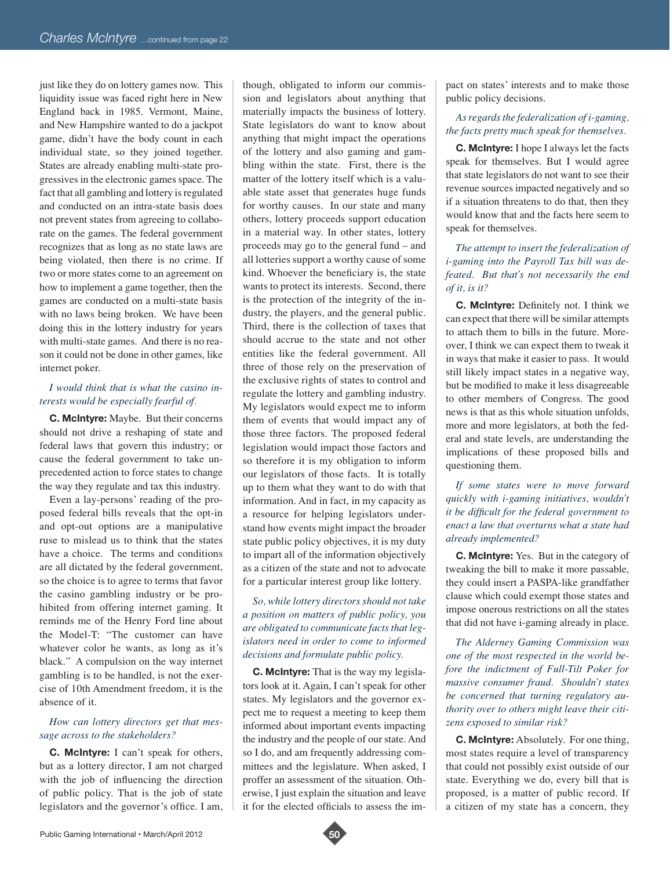just like they do on lottery games now. This liquidity issue was faced right here in New England back in 1985. Vermont, Maine, and New Hampshire wanted to do a jackpot game, didn't have the body count in each individual state, so they joined together. States are already enabling multi-state progressives in the electronic games space. The fact that all gambling and lottery is regulated and conducted on an intra-state basis does not prevent states from agreeing to collaborate on the games. The federal government recognizes that as long as no state laws are being violated, then there is no crime. If two or more states come to an agreement on how to implement a game together, then the games are conducted on a multi-state basis with no laws being broken. We have been doing this in the lottery industry for years with multi-state games. And there is no reason it could not be done in other games, like internet poker.

# *I would think that is what the casino interests would be especially fearful of.*

**C. McIntyre:** Maybe. But their concerns should not drive a reshaping of state and federal laws that govern this industry; or cause the federal government to take unprecedented action to force states to change the way they regulate and tax this industry.

Even a lay-persons' reading of the proposed federal bills reveals that the opt-in and opt-out options are a manipulative ruse to mislead us to think that the states have a choice. The terms and conditions are all dictated by the federal government, so the choice is to agree to terms that favor the casino gambling industry or be prohibited from offering internet gaming. It reminds me of the Henry Ford line about the Model-T: "The customer can have whatever color he wants, as long as it's black." A compulsion on the way internet gambling is to be handled, is not the exercise of 10th Amendment freedom, it is the absence of it.

#### *How can lottery directors get that message across to the stakeholders?*

**C. McIntyre:** I can't speak for others, but as a lottery director, I am not charged with the job of influencing the direction of public policy. That is the job of state legislators and the governor's office. I am,

though, obligated to inform our commission and legislators about anything that materially impacts the business of lottery. State legislators do want to know about anything that might impact the operations of the lottery and also gaming and gambling within the state. First, there is the matter of the lottery itself which is a valuable state asset that generates huge funds for worthy causes. In our state and many others, lottery proceeds support education in a material way. In other states, lottery proceeds may go to the general fund – and all lotteries support a worthy cause of some kind. Whoever the beneficiary is, the state wants to protect its interests. Second, there is the protection of the integrity of the industry, the players, and the general public. Third, there is the collection of taxes that should accrue to the state and not other entities like the federal government. All three of those rely on the preservation of the exclusive rights of states to control and regulate the lottery and gambling industry. My legislators would expect me to inform them of events that would impact any of those three factors. The proposed federal legislation would impact those factors and so therefore it is my obligation to inform our legislators of those facts. It is totally up to them what they want to do with that information. And in fact, in my capacity as a resource for helping legislators understand how events might impact the broader state public policy objectives, it is my duty to impart all of the information objectively as a citizen of the state and not to advocate for a particular interest group like lottery.

*So, while lottery directors should not take a position on matters of public policy, you are obligated to communicate facts that legislators need in order to come to informed decisions and formulate public policy.*

**C. McIntyre:** That is the way my legislators look at it. Again, I can't speak for other states. My legislators and the governor expect me to request a meeting to keep them informed about important events impacting the industry and the people of our state. And so I do, and am frequently addressing committees and the legislature. When asked, I proffer an assessment of the situation. Otherwise, I just explain the situation and leave it for the elected officials to assess the im-

pact on states' interests and to make those public policy decisions.

# *As regards the federalization of i-gaming, the facts pretty much speak for themselves.*

**C. McIntyre:** I hope I always let the facts speak for themselves. But I would agree that state legislators do not want to see their revenue sources impacted negatively and so if a situation threatens to do that, then they would know that and the facts here seem to speak for themselves.

*The attempt to insert the federalization of i-gaming into the Payroll Tax bill was defeated. But that's not necessarily the end of it, is it?*

**C. McIntyre:** Definitely not. I think we can expect that there will be similar attempts to attach them to bills in the future. Moreover, I think we can expect them to tweak it in ways that make it easier to pass. It would still likely impact states in a negative way, but be modified to make it less disagreeable to other members of Congress. The good news is that as this whole situation unfolds, more and more legislators, at both the federal and state levels, are understanding the implications of these proposed bills and questioning them.

*If some states were to move forward quickly with i-gaming initiatives, wouldn't it be difficult for the federal government to enact a law that overturns what a state had already implemented?*

**C. McIntyre:** Yes. But in the category of tweaking the bill to make it more passable, they could insert a PASPA-like grandfather clause which could exempt those states and impose onerous restrictions on all the states that did not have i-gaming already in place.

*The Alderney Gaming Commission was one of the most respected in the world before the indictment of Full-Tilt Poker for massive consumer fraud. Shouldn't states be concerned that turning regulatory authority over to others might leave their citizens exposed to similar risk?*

**C. McIntyre:** Absolutely. For one thing, most states require a level of transparency that could not possibly exist outside of our state. Everything we do, every bill that is proposed, is a matter of public record. If a citizen of my state has a concern, they